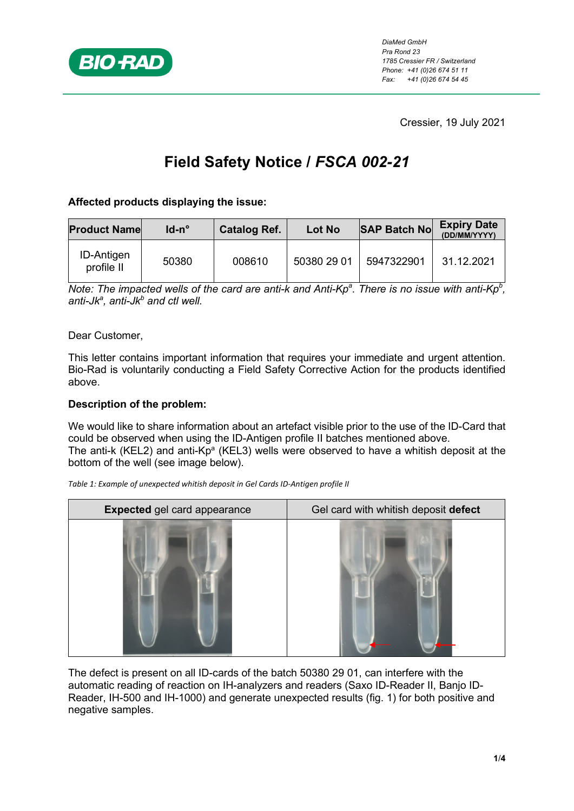

Cressier, 19 July 2021

# **Field Safety Notice /** *FSCA 002-21*

# **Affected products displaying the issue:**

| <b>Product Name</b>             | $Id$ -n $^{\circ}$ | <b>Catalog Ref.</b> | Lot No      | <b>SAP Batch No</b> | <b>Expiry Date</b><br>(DD/MM/YYYY) |
|---------------------------------|--------------------|---------------------|-------------|---------------------|------------------------------------|
| <b>ID-Antigen</b><br>profile II | 50380              | 008610              | 50380 29 01 | 5947322901          | 31 12 2021                         |

*Note: The impacted wells of the card are anti-k and Anti-Kp<sup>a</sup>. There is no issue with anti-Kp<sup>b</sup>, anti-Jka , anti-Jkb and ctl well.*

Dear Customer,

This letter contains important information that requires your immediate and urgent attention. Bio-Rad is voluntarily conducting a Field Safety Corrective Action for the products identified above.

## **Description of the problem:**

We would like to share information about an artefact visible prior to the use of the ID-Card that could be observed when using the ID-Antigen profile II batches mentioned above. The anti-k (KEL2) and anti-Kp<sup>a</sup> (KEL3) wells were observed to have a whitish deposit at the bottom of the well (see image below).

**Expected** gel card appearance **Gel card with whitish deposit defect** 

*Table 1: Example of unexpected whitish deposit in Gel Cards ID-Antigen profile II*

The defect is present on all ID-cards of the batch 50380 29 01, can interfere with the automatic reading of reaction on IH-analyzers and readers (Saxo ID-Reader II, Banjo ID-Reader, IH-500 and IH-1000) and generate unexpected results (fig. 1) for both positive and negative samples.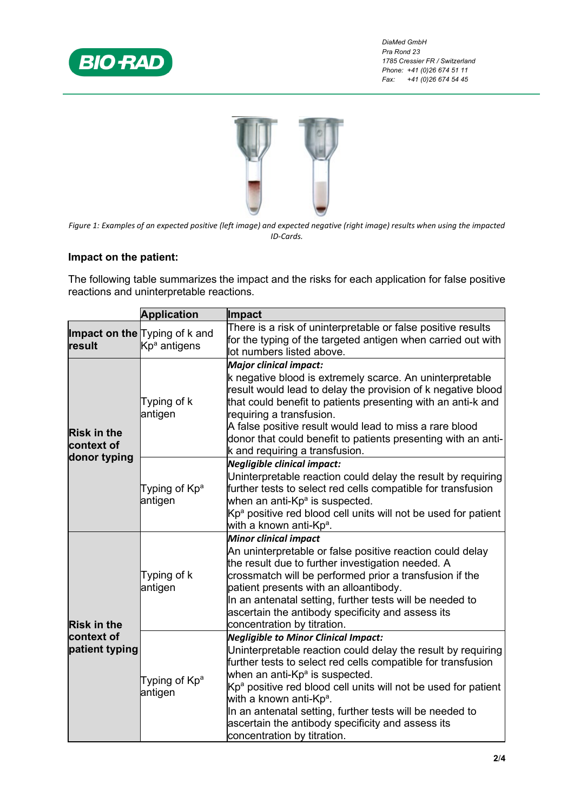

*DiaMed GmbH Pra Rond 23 1785 Cressier FR / Switzerland Phone: +41 (0)26 674 51 11 Fax: +41 (0)26 674 54 45*



*Figure 1: Examples of an expected positive (left image) and expected negative (right image) results when using the impacted ID-Cards.*

## **Impact on the patient:**

The following table summarizes the impact and the risks for each application for false positive reactions and uninterpretable reactions.

|                                                    | <b>Application</b>                                        | Impact                                                                                                                                                                                                                                                                                                                                                                                                                                                                   |
|----------------------------------------------------|-----------------------------------------------------------|--------------------------------------------------------------------------------------------------------------------------------------------------------------------------------------------------------------------------------------------------------------------------------------------------------------------------------------------------------------------------------------------------------------------------------------------------------------------------|
| result                                             | Impact on the Typing of k and<br>Kp <sup>a</sup> antigens | There is a risk of uninterpretable or false positive results<br>for the typing of the targeted antigen when carried out with<br>lot numbers listed above.                                                                                                                                                                                                                                                                                                                |
| <b>Risk in the</b><br>context of<br>donor typing   | Typing of k<br>antigen                                    | <b>Major clinical impact:</b><br>k negative blood is extremely scarce. An uninterpretable<br>result would lead to delay the provision of k negative blood<br>that could benefit to patients presenting with an anti-k and<br>requiring a transfusion.<br>A false positive result would lead to miss a rare blood<br>donor that could benefit to patients presenting with an anti-<br>k and requiring a transfusion.                                                      |
|                                                    | Typing of Kp <sup>a</sup><br>antigen                      | <b>Negligible clinical impact:</b><br>Uninterpretable reaction could delay the result by requiring<br>further tests to select red cells compatible for transfusion<br>when an anti-Kpª is suspected.<br>$Kpa$ positive red blood cell units will not be used for patient<br>with a known anti-Kpª.                                                                                                                                                                       |
| <b>Risk in the</b><br>context of<br>patient typing | Typing of k<br>antigen                                    | <b>Minor clinical impact</b><br>An uninterpretable or false positive reaction could delay<br>the result due to further investigation needed. A<br>crossmatch will be performed prior a transfusion if the<br>patient presents with an alloantibody.<br>In an antenatal setting, further tests will be needed to<br>ascertain the antibody specificity and assess its<br>concentration by titration.                                                                      |
|                                                    | Typing of Kp <sup>a</sup><br>antigen                      | <b>Negligible to Minor Clinical Impact:</b><br>Uninterpretable reaction could delay the result by requiring<br>further tests to select red cells compatible for transfusion<br>when an anti-Kpª is suspected.<br>$Kpa$ positive red blood cell units will not be used for patient<br>with a known anti-Kp <sup>a</sup> .<br>In an antenatal setting, further tests will be needed to<br>ascertain the antibody specificity and assess its<br>concentration by titration. |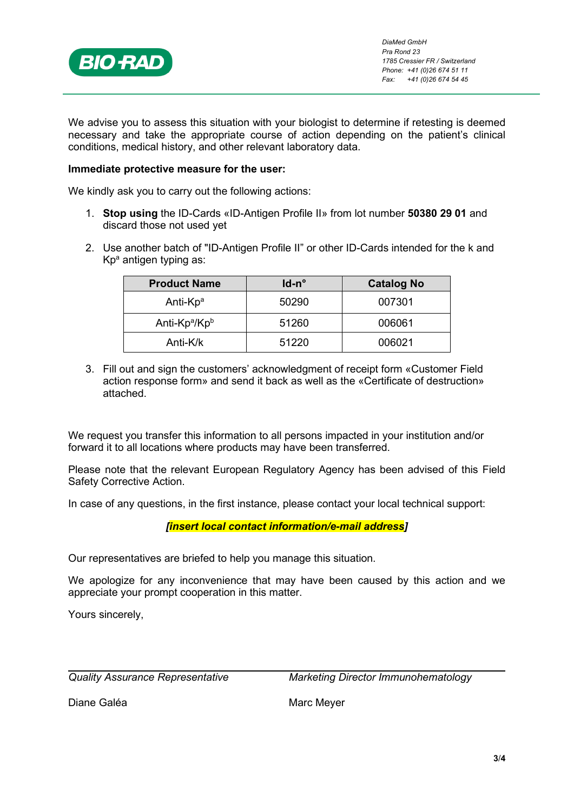

We advise you to assess this situation with your biologist to determine if retesting is deemed necessary and take the appropriate course of action depending on the patient's clinical conditions, medical history, and other relevant laboratory data.

### **Immediate protective measure for the user:**

We kindly ask you to carry out the following actions:

- 1. **Stop using** the ID-Cards «ID-Antigen Profile II» from lot number **50380 29 01** and discard those not used yet
- 2. Use another batch of "ID-Antigen Profile II" or other ID-Cards intended for the k and  $Kp<sup>a</sup>$  antigen typing as:

| <b>Product Name</b>                   | ld-n° | <b>Catalog No</b> |
|---------------------------------------|-------|-------------------|
| Anti-Kp <sup>a</sup>                  | 50290 | 007301            |
| Anti-Kp <sup>a</sup> /Kp <sup>b</sup> | 51260 | 006061            |
| Anti-K/k                              | 51220 | 006021            |

3. Fill out and sign the customers' acknowledgment of receipt form «Customer Field action response form» and send it back as well as the «Certificate of destruction» attached.

We request you transfer this information to all persons impacted in your institution and/or forward it to all locations where products may have been transferred.

Please note that the relevant European Regulatory Agency has been advised of this Field Safety Corrective Action.

In case of any questions, in the first instance, please contact your local technical support:

## *[insert local contact information/e-mail address]*

Our representatives are briefed to help you manage this situation.

We apologize for any inconvenience that may have been caused by this action and we appreciate your prompt cooperation in this matter.

Yours sincerely,

*Quality Assurance Representative Marketing Director Immunohematology*

Diane Galéa **Marc Meyer** Marc Meyer